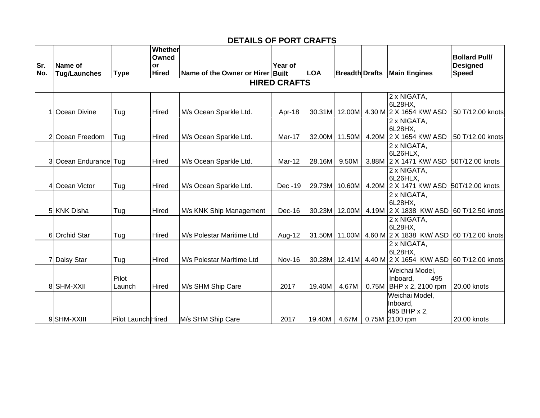## **DETAILS OF PORT CRAFTS**

| Sr.<br>No. | Name of<br><b>Tug/Launches</b> | <b>Type</b>        | Whether<br>Owned<br>or<br><b>Hired</b> | Name of the Owner or Hirer Built | Year of       | <b>LOA</b> |               |  | <b>Breadth Drafts   Main Engines</b>                              | <b>Bollard Pull/</b><br><b>Designed</b><br><b>Speed</b> |  |
|------------|--------------------------------|--------------------|----------------------------------------|----------------------------------|---------------|------------|---------------|--|-------------------------------------------------------------------|---------------------------------------------------------|--|
|            | <b>HIRED CRAFTS</b>            |                    |                                        |                                  |               |            |               |  |                                                                   |                                                         |  |
|            | 1 Ocean Divine                 | Tug                | Hired                                  | M/s Ocean Sparkle Ltd.           | Apr-18        |            | 30.31M 12.00M |  | 2 x NIGATA,<br>6L28HX,<br>4.30 M 2 X 1654 KW/ ASD                 | 50 T/12.00 knots                                        |  |
|            | 2 Ocean Freedom                | Tug                | Hired                                  | M/s Ocean Sparkle Ltd.           | Mar-17        | 32.00M     | 11.50M        |  | 2 x NIGATA,<br>6L28HX,<br>4.20M 2 X 1654 KW/ ASD                  | 50 T/12.00 knots                                        |  |
|            | 3 Ocean Endurance Tug          |                    | Hired                                  | M/s Ocean Sparkle Ltd.           | Mar-12        | 28.16M     | 9.50M         |  | 2 x NIGATA,<br>6L26HLX,<br>3.88M 2 X 1471 KW/ ASD 50T/12.00 knots |                                                         |  |
|            | 4 Ocean Victor                 | Tug                | Hired                                  | M/s Ocean Sparkle Ltd.           | Dec -19       |            | 29.73M 10.60M |  | 2 x NIGATA,<br>6L26HLX,<br>4.20M 2 X 1471 KW/ ASD                 | 50T/12.00 knots                                         |  |
|            | 5 KNK Disha                    | Tug                | Hired                                  | M/s KNK Ship Management          | $Dec-16$      | 30.23M     | 12.00M        |  | 2 x NIGATA,<br>6L28HX,<br>4.19M 2 X 1838 KW/ ASD 60 T/12.50 knots |                                                         |  |
|            | 6 Orchid Star                  | Tug                | Hired                                  | M/s Polestar Maritime Ltd        | Aug-12        |            |               |  | 2 x NIGATA,<br>6L28HX,<br>31.50M 11.00M 4.60 M 2 X 1838 KW/ ASD   | 60 T/12.00 knots                                        |  |
|            | 7 Daisy Star                   | Tug                | Hired                                  | M/s Polestar Maritime Ltd        | <b>Nov-16</b> |            |               |  | 2 x NIGATA,<br>6L28HX,<br>30.28M 12.41M 4.40 M 2 X 1654 KW/ ASD   | 60 T/12.00 knots                                        |  |
|            | 8 SHM-XXII                     | Pilot<br>Launch    | Hired                                  | M/s SHM Ship Care                | 2017          | 19.40M     | 4.67M         |  | Weichai Model,<br>495<br>Inboard,<br>0.75M   BHP x 2, 2100 rpm    | 20.00 knots                                             |  |
|            | 9SHM-XXIII                     | Pilot Launch Hired |                                        | M/s SHM Ship Care                | 2017          | 19.40M     | 4.67M         |  | Weichai Model,<br>Inboard,<br>495 BHP x 2,<br>0.75M 2100 rpm      | 20.00 knots                                             |  |